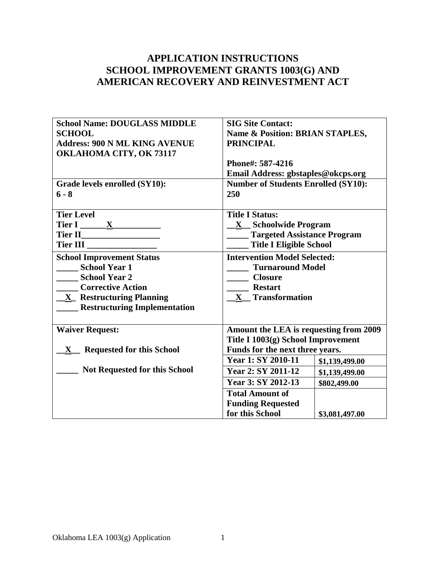# **APPLICATION INSTRUCTIONS SCHOOL IMPROVEMENT GRANTS 1003(G) AND AMERICAN RECOVERY AND REINVESTMENT ACT**

| <b>School Name: DOUGLASS MIDDLE</b><br><b>SCHOOL</b><br><b>Address: 900 N ML KING AVENUE</b><br>OKLAHOMA CITY, OK 73117<br>Grade levels enrolled (SY10):<br>$6 - 8$ | <b>SIG Site Contact:</b><br><b>Name &amp; Position: BRIAN STAPLES,</b><br><b>PRINCIPAL</b><br>Phone#: 587-4216<br>Email Address: gbstaples@okcps.org<br><b>Number of Students Enrolled (SY10):</b><br>250         |                |  |
|---------------------------------------------------------------------------------------------------------------------------------------------------------------------|-------------------------------------------------------------------------------------------------------------------------------------------------------------------------------------------------------------------|----------------|--|
| <b>Tier Level</b><br>Tier I $\frac{\mathbf{X}}{2}$<br><b>School Improvement Status</b><br><b>School Year 1</b><br>School Year 2                                     | <b>Title I Status:</b><br><b>X</b> Schoolwide Program<br><b>Targeted Assistance Program</b><br><b>Title I Eligible School</b><br><b>Intervention Model Selected:</b><br><b>Turnaround Model</b><br><b>Closure</b> |                |  |
| <b>Corrective Action</b><br><b>X</b> Restructuring Planning<br><b>Restructuring Implementation</b>                                                                  | <b>Restart</b><br>X Transformation                                                                                                                                                                                |                |  |
| <b>Waiver Request:</b>                                                                                                                                              | Amount the LEA is requesting from 2009<br>Title I 1003(g) School Improvement                                                                                                                                      |                |  |
| X Requested for this School                                                                                                                                         | Funds for the next three years.<br>Year 1: SY 2010-11                                                                                                                                                             | \$1,139,499.00 |  |
| <b>Not Requested for this School</b>                                                                                                                                | Year 2: SY 2011-12<br>\$1,139,499.00<br>Year 3: SY 2012-13<br>\$802,499.00<br><b>Total Amount of</b>                                                                                                              |                |  |
|                                                                                                                                                                     | <b>Funding Requested</b><br>for this School                                                                                                                                                                       | \$3,081,497.00 |  |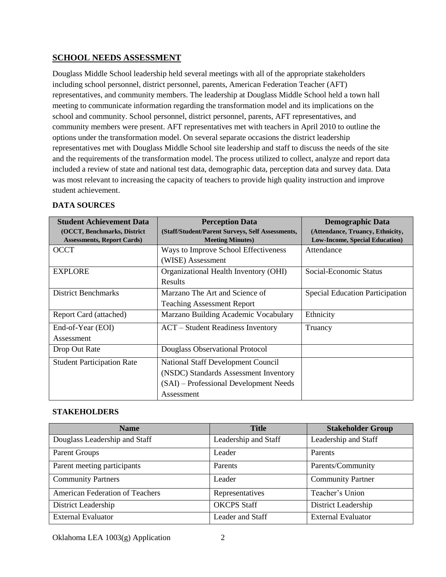#### **SCHOOL NEEDS ASSESSMENT**

Douglass Middle School leadership held several meetings with all of the appropriate stakeholders including school personnel, district personnel, parents, American Federation Teacher (AFT) representatives, and community members. The leadership at Douglass Middle School held a town hall meeting to communicate information regarding the transformation model and its implications on the school and community. School personnel, district personnel, parents, AFT representatives, and community members were present. AFT representatives met with teachers in April 2010 to outline the options under the transformation model. On several separate occasions the district leadership representatives met with Douglass Middle School site leadership and staff to discuss the needs of the site and the requirements of the transformation model. The process utilized to collect, analyze and report data included a review of state and national test data, demographic data, perception data and survey data. Data was most relevant to increasing the capacity of teachers to provide high quality instruction and improve student achievement.

#### **DATA SOURCES**

| <b>Student Achievement Data</b>    | <b>Perception Data</b>                           | <b>Demographic Data</b>                |
|------------------------------------|--------------------------------------------------|----------------------------------------|
| (OCCT, Benchmarks, District        | (Staff/Student/Parent Surveys, Self Assessments, | (Attendance, Truancy, Ethnicity,       |
| <b>Assessments, Report Cards</b> ) | <b>Meeting Minutes</b> )                         | <b>Low-Income, Special Education</b> ) |
| <b>OCCT</b>                        | Ways to Improve School Effectiveness             | Attendance                             |
|                                    | (WISE) Assessment                                |                                        |
| <b>EXPLORE</b>                     | Organizational Health Inventory (OHI)            | Social-Economic Status                 |
|                                    | <b>Results</b>                                   |                                        |
| <b>District Benchmarks</b>         | Marzano The Art and Science of                   | Special Education Participation        |
|                                    | <b>Teaching Assessment Report</b>                |                                        |
| Report Card (attached)             | Marzano Building Academic Vocabulary             | Ethnicity                              |
| End-of-Year (EOI)                  | <b>ACT</b> – Student Readiness Inventory         | Truancy                                |
| Assessment                         |                                                  |                                        |
| Drop Out Rate                      | Douglass Observational Protocol                  |                                        |
| <b>Student Participation Rate</b>  | National Staff Development Council               |                                        |
|                                    | (NSDC) Standards Assessment Inventory            |                                        |
|                                    | (SAI) – Professional Development Needs           |                                        |
|                                    | Assessment                                       |                                        |

#### **STAKEHOLDERS**

| <b>Name</b>                     | <b>Title</b>         | <b>Stakeholder Group</b>  |
|---------------------------------|----------------------|---------------------------|
| Douglass Leadership and Staff   | Leadership and Staff | Leadership and Staff      |
| Parent Groups                   | Leader               | Parents                   |
| Parent meeting participants     | Parents              | Parents/Community         |
| <b>Community Partners</b>       | Leader               | <b>Community Partner</b>  |
| American Federation of Teachers | Representatives      | Teacher's Union           |
| District Leadership             | <b>OKCPS</b> Staff   | District Leadership       |
| <b>External Evaluator</b>       | Leader and Staff     | <b>External Evaluator</b> |

Oklahoma LEA 1003(g) Application 2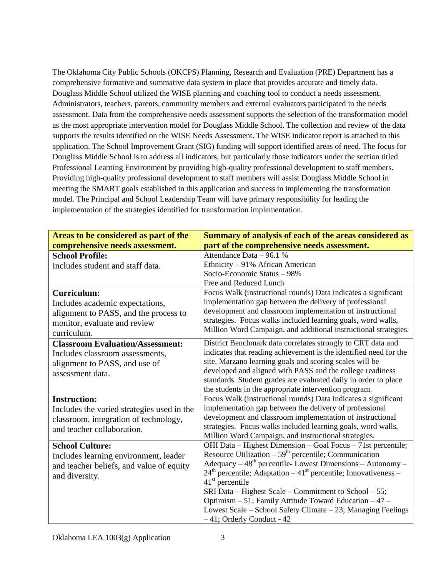The Oklahoma City Public Schools (OKCPS) Planning, Research and Evaluation (PRE) Department has a comprehensive formative and summative data system in place that provides accurate and timely data. Douglass Middle School utilized the WISE planning and coaching tool to conduct a needs assessment. Administrators, teachers, parents, community members and external evaluators participated in the needs assessment. Data from the comprehensive needs assessment supports the selection of the transformation model as the most appropriate intervention model for Douglass Middle School. The collection and review of the data supports the results identified on the WISE Needs Assessment. The WISE indicator report is attached to this application. The School Improvement Grant (SIG) funding will support identified areas of need. The focus for Douglass Middle School is to address all indicators, but particularly those indicators under the section titled Professional Learning Environment by providing high-quality professional development to staff members. Providing high-quality professional development to staff members will assist Douglass Middle School in meeting the SMART goals established in this application and success in implementing the transformation model. The Principal and School Leadership Team will have primary responsibility for leading the implementation of the strategies identified for transformation implementation.

| Areas to be considered as part of the      | Summary of analysis of each of the areas considered as                                                                 |
|--------------------------------------------|------------------------------------------------------------------------------------------------------------------------|
| comprehensive needs assessment.            | part of the comprehensive needs assessment.                                                                            |
| <b>School Profile:</b>                     | Attendance Data - 96.1 %                                                                                               |
| Includes student and staff data.           | Ethnicity - 91% African American                                                                                       |
|                                            | Socio-Economic Status - 98%                                                                                            |
|                                            | Free and Reduced Lunch                                                                                                 |
| <b>Curriculum:</b>                         | Focus Walk (instructional rounds) Data indicates a significant                                                         |
| Includes academic expectations,            | implementation gap between the delivery of professional                                                                |
| alignment to PASS, and the process to      | development and classroom implementation of instructional                                                              |
| monitor, evaluate and review               | strategies. Focus walks included learning goals, word walls,                                                           |
| curriculum.                                | Million Word Campaign, and additional instructional strategies.                                                        |
| <b>Classroom Evaluation/Assessment:</b>    | District Benchmark data correlates strongly to CRT data and                                                            |
| Includes classroom assessments,            | indicates that reading achievement is the identified need for the                                                      |
| alignment to PASS, and use of              | site. Marzano learning goals and scoring scales will be                                                                |
| assessment data.                           | developed and aligned with PASS and the college readiness                                                              |
|                                            | standards. Student grades are evaluated daily in order to place                                                        |
|                                            | the students in the appropriate intervention program.                                                                  |
| <b>Instruction:</b>                        | Focus Walk (instructional rounds) Data indicates a significant                                                         |
| Includes the varied strategies used in the | implementation gap between the delivery of professional                                                                |
| classroom, integration of technology,      | development and classroom implementation of instructional                                                              |
| and teacher collaboration.                 | strategies. Focus walks included learning goals, word walls,                                                           |
|                                            | Million Word Campaign, and instructional strategies.                                                                   |
| <b>School Culture:</b>                     | OHI Data – Highest Dimension – Goal Focus – 71st percentile;                                                           |
| Includes learning environment, leader      | Resource Utilization $-59th$ percentile; Communication                                                                 |
| and teacher beliefs, and value of equity   | $A$ dequacy – 48 <sup>th</sup> percentile-Lowest Dimensions – Autonomy –                                               |
| and diversity.                             | $24th$ percentile; Adaptation – 41 <sup>st</sup> percentile; Innovativeness –                                          |
|                                            | $41st$ percentile                                                                                                      |
|                                            | SRI Data – Highest Scale – Commitment to School – 55;                                                                  |
|                                            | Optimism - 51; Family Attitude Toward Education - 47 -<br>Lowest Scale - School Safety Climate - 23; Managing Feelings |
|                                            | $-41$ ; Orderly Conduct - 42                                                                                           |
|                                            |                                                                                                                        |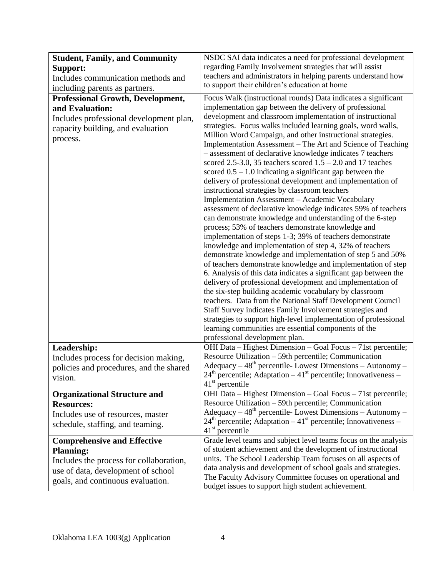| <b>Student, Family, and Community</b>                                                                                                                                        | NSDC SAI data indicates a need for professional development                                                                                                                                                                                                                                                                                                                                                                                                                                                                                                                                                                                                                                                                                                                                                                                                                                                                                                                                      |
|------------------------------------------------------------------------------------------------------------------------------------------------------------------------------|--------------------------------------------------------------------------------------------------------------------------------------------------------------------------------------------------------------------------------------------------------------------------------------------------------------------------------------------------------------------------------------------------------------------------------------------------------------------------------------------------------------------------------------------------------------------------------------------------------------------------------------------------------------------------------------------------------------------------------------------------------------------------------------------------------------------------------------------------------------------------------------------------------------------------------------------------------------------------------------------------|
| Support:                                                                                                                                                                     | regarding Family Involvement strategies that will assist                                                                                                                                                                                                                                                                                                                                                                                                                                                                                                                                                                                                                                                                                                                                                                                                                                                                                                                                         |
| Includes communication methods and                                                                                                                                           | teachers and administrators in helping parents understand how                                                                                                                                                                                                                                                                                                                                                                                                                                                                                                                                                                                                                                                                                                                                                                                                                                                                                                                                    |
| including parents as partners.                                                                                                                                               | to support their children's education at home                                                                                                                                                                                                                                                                                                                                                                                                                                                                                                                                                                                                                                                                                                                                                                                                                                                                                                                                                    |
| <b>Professional Growth, Development,</b>                                                                                                                                     | Focus Walk (instructional rounds) Data indicates a significant                                                                                                                                                                                                                                                                                                                                                                                                                                                                                                                                                                                                                                                                                                                                                                                                                                                                                                                                   |
| and Evaluation:                                                                                                                                                              | implementation gap between the delivery of professional                                                                                                                                                                                                                                                                                                                                                                                                                                                                                                                                                                                                                                                                                                                                                                                                                                                                                                                                          |
| Includes professional development plan,<br>capacity building, and evaluation<br>process.                                                                                     | development and classroom implementation of instructional<br>strategies. Focus walks included learning goals, word walls,<br>Million Word Campaign, and other instructional strategies.<br>Implementation Assessment – The Art and Science of Teaching<br>- assessment of declarative knowledge indicates 7 teachers<br>scored 2.5-3.0, 35 teachers scored $1.5 - 2.0$ and 17 teaches<br>scored $0.5 - 1.0$ indicating a significant gap between the<br>delivery of professional development and implementation of<br>instructional strategies by classroom teachers<br>Implementation Assessment - Academic Vocabulary<br>assessment of declarative knowledge indicates 59% of teachers<br>can demonstrate knowledge and understanding of the 6-step<br>process; 53% of teachers demonstrate knowledge and<br>implementation of steps 1-3; 39% of teachers demonstrate<br>knowledge and implementation of step 4, 32% of teachers<br>demonstrate knowledge and implementation of step 5 and 50% |
|                                                                                                                                                                              | of teachers demonstrate knowledge and implementation of step<br>6. Analysis of this data indicates a significant gap between the<br>delivery of professional development and implementation of<br>the six-step building academic vocabulary by classroom<br>teachers. Data from the National Staff Development Council<br>Staff Survey indicates Family Involvement strategies and<br>strategies to support high-level implementation of professional<br>learning communities are essential components of the<br>professional development plan.                                                                                                                                                                                                                                                                                                                                                                                                                                                  |
| Leadership:<br>Includes process for decision making,<br>policies and procedures, and the shared<br>vision.                                                                   | OHI Data – Highest Dimension – Goal Focus – 71st percentile;<br>Resource Utilization - 59th percentile; Communication<br>Adequacy $-48th$ percentile-Lowest Dimensions $-$ Autonomy $-$<br>$24th$ percentile; Adaptation $-41st$ percentile; Innovativeness –                                                                                                                                                                                                                                                                                                                                                                                                                                                                                                                                                                                                                                                                                                                                    |
|                                                                                                                                                                              | 41 <sup>st</sup> percentile                                                                                                                                                                                                                                                                                                                                                                                                                                                                                                                                                                                                                                                                                                                                                                                                                                                                                                                                                                      |
| <b>Organizational Structure and</b><br><b>Resources:</b><br>Includes use of resources, master<br>schedule, staffing, and teaming.                                            | OHI Data – Highest Dimension – Goal Focus – 71st percentile;<br>Resource Utilization - 59th percentile; Communication<br>Adequacy $-48th$ percentile-Lowest Dimensions $-$ Autonomy $-$<br>$24th$ percentile; Adaptation – 41 <sup>st</sup> percentile; Innovativeness –<br>$41st$ percentile                                                                                                                                                                                                                                                                                                                                                                                                                                                                                                                                                                                                                                                                                                    |
| <b>Comprehensive and Effective</b><br><b>Planning:</b><br>Includes the process for collaboration,<br>use of data, development of school<br>goals, and continuous evaluation. | Grade level teams and subject level teams focus on the analysis<br>of student achievement and the development of instructional<br>units. The School Leadership Team focuses on all aspects of<br>data analysis and development of school goals and strategies.<br>The Faculty Advisory Committee focuses on operational and<br>budget issues to support high student achievement.                                                                                                                                                                                                                                                                                                                                                                                                                                                                                                                                                                                                                |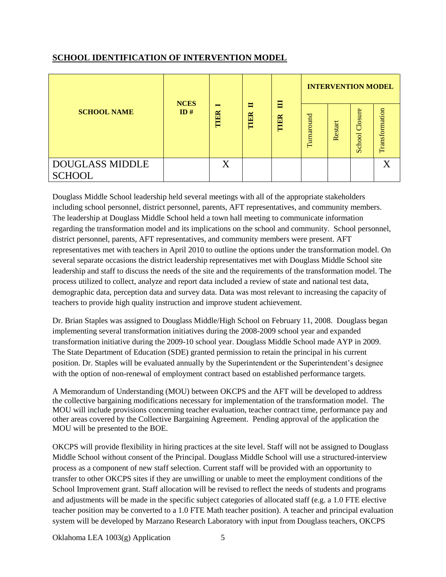## **SCHOOL IDENTIFICATION OF INTERVENTION MODEL**

|                                         | <b>NCES</b> |                        | E<br>Е | <b>INTERVENTION MODEL</b> |            |         |                   |                |
|-----------------------------------------|-------------|------------------------|--------|---------------------------|------------|---------|-------------------|----------------|
| <b>SCHOOL NAME</b>                      | ID#         | $\blacksquare$<br>TIER | TIER   | TIER                      | Turnaround | Restart | Closure<br>School | Transformation |
| <b>DOUGLASS MIDDLE</b><br><b>SCHOOL</b> |             |                        |        |                           |            |         |                   |                |

Douglass Middle School leadership held several meetings with all of the appropriate stakeholders including school personnel, district personnel, parents, AFT representatives, and community members. The leadership at Douglass Middle School held a town hall meeting to communicate information regarding the transformation model and its implications on the school and community. School personnel, district personnel, parents, AFT representatives, and community members were present. AFT representatives met with teachers in April 2010 to outline the options under the transformation model. On several separate occasions the district leadership representatives met with Douglass Middle School site leadership and staff to discuss the needs of the site and the requirements of the transformation model. The process utilized to collect, analyze and report data included a review of state and national test data, demographic data, perception data and survey data. Data was most relevant to increasing the capacity of teachers to provide high quality instruction and improve student achievement.

Dr. Brian Staples was assigned to Douglass Middle/High School on February 11, 2008. Douglass began implementing several transformation initiatives during the 2008-2009 school year and expanded transformation initiative during the 2009-10 school year. Douglass Middle School made AYP in 2009. The State Department of Education (SDE) granted permission to retain the principal in his current position. Dr. Staples will be evaluated annually by the Superintendent or the Superintendent's designee with the option of non-renewal of employment contract based on established performance targets.

A Memorandum of Understanding (MOU) between OKCPS and the AFT will be developed to address the collective bargaining modifications necessary for implementation of the transformation model. The MOU will include provisions concerning teacher evaluation, teacher contract time, performance pay and other areas covered by the Collective Bargaining Agreement. Pending approval of the application the MOU will be presented to the BOE.

OKCPS will provide flexibility in hiring practices at the site level. Staff will not be assigned to Douglass Middle School without consent of the Principal. Douglass Middle School will use a structured-interview process as a component of new staff selection. Current staff will be provided with an opportunity to transfer to other OKCPS sites if they are unwilling or unable to meet the employment conditions of the School Improvement grant. Staff allocation will be revised to reflect the needs of students and programs and adjustments will be made in the specific subject categories of allocated staff (e.g. a 1.0 FTE elective teacher position may be converted to a 1.0 FTE Math teacher position). A teacher and principal evaluation system will be developed by Marzano Research Laboratory with input from Douglass teachers, OKCPS

Oklahoma LEA 1003(g) Application 5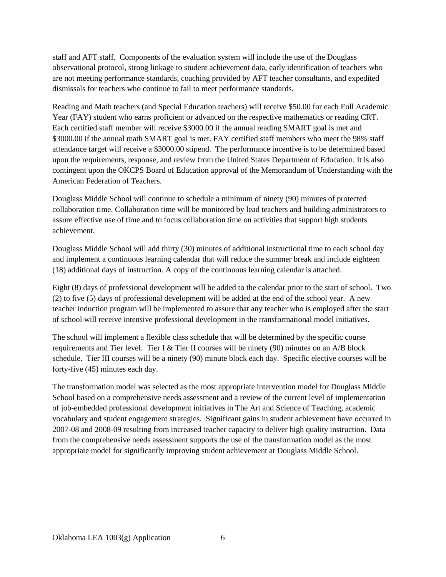staff and AFT staff. Components of the evaluation system will include the use of the Douglass observational protocol, strong linkage to student achievement data, early identification of teachers who are not meeting performance standards, coaching provided by AFT teacher consultants, and expedited dismissals for teachers who continue to fail to meet performance standards.

Reading and Math teachers (and Special Education teachers) will receive \$50.00 for each Full Academic Year (FAY) student who earns proficient or advanced on the respective mathematics or reading CRT. Each certified staff member will receive \$3000.00 if the annual reading SMART goal is met and \$3000.00 if the annual math SMART goal is met. FAY certified staff members who meet the 98% staff attendance target will receive a \$3000.00 stipend. The performance incentive is to be determined based upon the requirements, response, and review from the United States Department of Education. It is also contingent upon the OKCPS Board of Education approval of the Memorandum of Understanding with the American Federation of Teachers.

Douglass Middle School will continue to schedule a minimum of ninety (90) minutes of protected collaboration time. Collaboration time will be monitored by lead teachers and building administrators to assure effective use of time and to focus collaboration time on activities that support high students achievement.

Douglass Middle School will add thirty (30) minutes of additional instructional time to each school day and implement a continuous learning calendar that will reduce the summer break and include eighteen (18) additional days of instruction. A copy of the continuous learning calendar is attached.

Eight (8) days of professional development will be added to the calendar prior to the start of school. Two (2) to five (5) days of professional development will be added at the end of the school year. A new teacher induction program will be implemented to assure that any teacher who is employed after the start of school will receive intensive professional development in the transformational model initiatives.

The school will implement a flexible class schedule that will be determined by the specific course requirements and Tier level. Tier I & Tier II courses will be ninety (90) minutes on an  $A/B$  block schedule. Tier III courses will be a ninety (90) minute block each day. Specific elective courses will be forty-five (45) minutes each day.

The transformation model was selected as the most appropriate intervention model for Douglass Middle School based on a comprehensive needs assessment and a review of the current level of implementation of job-embedded professional development initiatives in The Art and Science of Teaching, academic vocabulary and student engagement strategies. Significant gains in student achievement have occurred in 2007-08 and 2008-09 resulting from increased teacher capacity to deliver high quality instruction. Data from the comprehensive needs assessment supports the use of the transformation model as the most appropriate model for significantly improving student achievement at Douglass Middle School.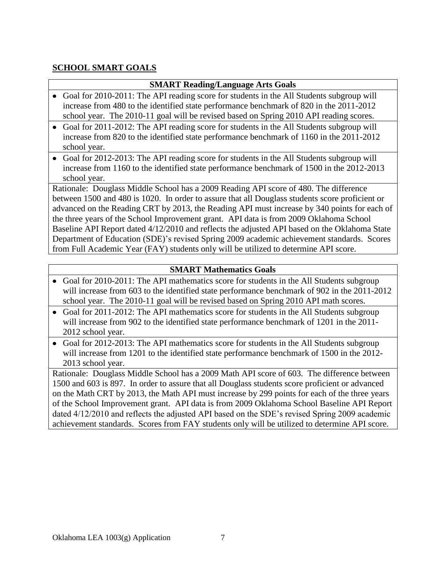### **SCHOOL SMART GOALS**

#### **SMART Reading/Language Arts Goals**

- Goal for 2010-2011: The API reading score for students in the All Students subgroup will increase from 480 to the identified state performance benchmark of 820 in the 2011-2012 school year. The 2010-11 goal will be revised based on Spring 2010 API reading scores.
- Goal for 2011-2012: The API reading score for students in the All Students subgroup will increase from 820 to the identified state performance benchmark of 1160 in the 2011-2012 school year.
- Goal for 2012-2013: The API reading score for students in the All Students subgroup will increase from 1160 to the identified state performance benchmark of 1500 in the 2012-2013 school year.

Rationale: Douglass Middle School has a 2009 Reading API score of 480. The difference between 1500 and 480 is 1020. In order to assure that all Douglass students score proficient or advanced on the Reading CRT by 2013, the Reading API must increase by 340 points for each of the three years of the School Improvement grant. API data is from 2009 Oklahoma School Baseline API Report dated 4/12/2010 and reflects the adjusted API based on the Oklahoma State Department of Education (SDE)'s revised Spring 2009 academic achievement standards. Scores from Full Academic Year (FAY) students only will be utilized to determine API score.

#### **SMART Mathematics Goals**

- Goal for 2010-2011: The API mathematics score for students in the All Students subgroup will increase from 603 to the identified state performance benchmark of 902 in the 2011-2012 school year. The 2010-11 goal will be revised based on Spring 2010 API math scores.
- Goal for 2011-2012: The API mathematics score for students in the All Students subgroup will increase from 902 to the identified state performance benchmark of 1201 in the 2011-2012 school year.
- Goal for 2012-2013: The API mathematics score for students in the All Students subgroup will increase from 1201 to the identified state performance benchmark of 1500 in the 2012- 2013 school year.

Rationale: Douglass Middle School has a 2009 Math API score of 603. The difference between 1500 and 603 is 897. In order to assure that all Douglass students score proficient or advanced on the Math CRT by 2013, the Math API must increase by 299 points for each of the three years of the School Improvement grant. API data is from 2009 Oklahoma School Baseline API Report dated 4/12/2010 and reflects the adjusted API based on the SDE's revised Spring 2009 academic achievement standards. Scores from FAY students only will be utilized to determine API score.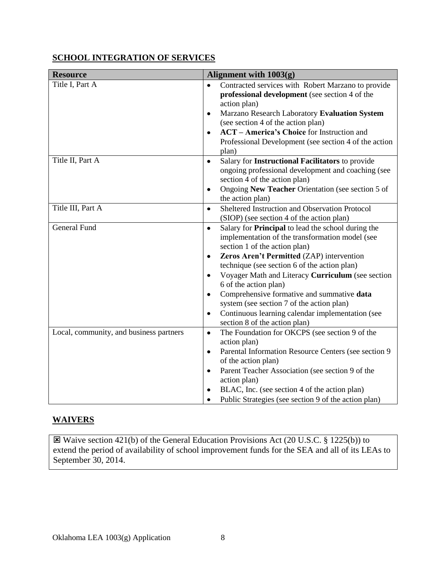## **SCHOOL INTEGRATION OF SERVICES**

| <b>Resource</b>                         | Alignment with 1003(g)                                                                                                                                                                                                                                                                                                                                                                                                                                                                                                                                             |
|-----------------------------------------|--------------------------------------------------------------------------------------------------------------------------------------------------------------------------------------------------------------------------------------------------------------------------------------------------------------------------------------------------------------------------------------------------------------------------------------------------------------------------------------------------------------------------------------------------------------------|
| Title I, Part A                         | Contracted services with Robert Marzano to provide<br>$\bullet$<br>professional development (see section 4 of the<br>action plan)<br>Marzano Research Laboratory Evaluation System<br>$\bullet$<br>(see section 4 of the action plan)<br><b>ACT</b> – <b>America's Choice</b> for Instruction and<br>$\bullet$<br>Professional Development (see section 4 of the action<br>plan)                                                                                                                                                                                   |
| Title II, Part A                        | Salary for Instructional Facilitators to provide<br>$\bullet$<br>ongoing professional development and coaching (see<br>section 4 of the action plan)<br>Ongoing New Teacher Orientation (see section 5 of<br>٠<br>the action plan)                                                                                                                                                                                                                                                                                                                                 |
| Title III, Part A                       | Sheltered Instruction and Observation Protocol<br>$\bullet$<br>(SIOP) (see section 4 of the action plan)                                                                                                                                                                                                                                                                                                                                                                                                                                                           |
| <b>General Fund</b>                     | Salary for Principal to lead the school during the<br>$\bullet$<br>implementation of the transformation model (see<br>section 1 of the action plan)<br>Zeros Aren't Permitted (ZAP) intervention<br>$\bullet$<br>technique (see section 6 of the action plan)<br>Voyager Math and Literacy Curriculum (see section<br>$\bullet$<br>6 of the action plan)<br>Comprehensive formative and summative data<br>$\bullet$<br>system (see section 7 of the action plan)<br>Continuous learning calendar implementation (see<br>$\bullet$<br>section 8 of the action plan) |
| Local, community, and business partners | The Foundation for OKCPS (see section 9 of the<br>$\bullet$<br>action plan)<br>Parental Information Resource Centers (see section 9<br>٠<br>of the action plan)<br>Parent Teacher Association (see section 9 of the<br>$\bullet$<br>action plan)<br>BLAC, Inc. (see section 4 of the action plan)<br>Public Strategies (see section 9 of the action plan)<br>$\bullet$                                                                                                                                                                                             |

## **WAIVERS**

 Waive section 421(b) of the General Education Provisions Act (20 U.S.C. § 1225(b)) to extend the period of availability of school improvement funds for the SEA and all of its LEAs to September 30, 2014.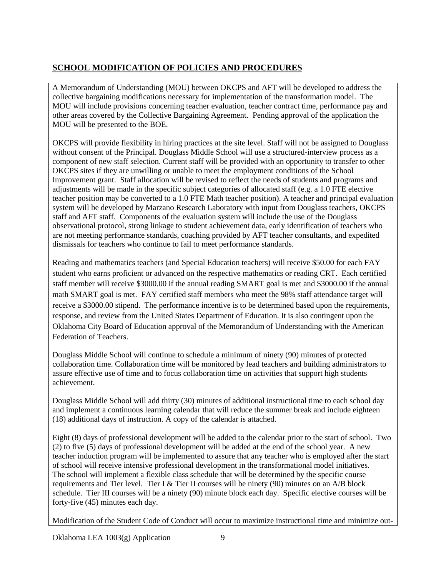# **SCHOOL MODIFICATION OF POLICIES AND PROCEDURES**

A Memorandum of Understanding (MOU) between OKCPS and AFT will be developed to address the collective bargaining modifications necessary for implementation of the transformation model. The MOU will include provisions concerning teacher evaluation, teacher contract time, performance pay and other areas covered by the Collective Bargaining Agreement. Pending approval of the application the MOU will be presented to the BOE.

OKCPS will provide flexibility in hiring practices at the site level. Staff will not be assigned to Douglass without consent of the Principal. Douglass Middle School will use a structured-interview process as a component of new staff selection. Current staff will be provided with an opportunity to transfer to other OKCPS sites if they are unwilling or unable to meet the employment conditions of the School Improvement grant. Staff allocation will be revised to reflect the needs of students and programs and adjustments will be made in the specific subject categories of allocated staff (e.g. a 1.0 FTE elective teacher position may be converted to a 1.0 FTE Math teacher position). A teacher and principal evaluation system will be developed by Marzano Research Laboratory with input from Douglass teachers, OKCPS staff and AFT staff. Components of the evaluation system will include the use of the Douglass observational protocol, strong linkage to student achievement data, early identification of teachers who are not meeting performance standards, coaching provided by AFT teacher consultants, and expedited dismissals for teachers who continue to fail to meet performance standards.

Reading and mathematics teachers (and Special Education teachers) will receive \$50.00 for each FAY student who earns proficient or advanced on the respective mathematics or reading CRT. Each certified staff member will receive \$3000.00 if the annual reading SMART goal is met and \$3000.00 if the annual math SMART goal is met. FAY certified staff members who meet the 98% staff attendance target will receive a \$3000.00 stipend. The performance incentive is to be determined based upon the requirements, response, and review from the United States Department of Education. It is also contingent upon the Oklahoma City Board of Education approval of the Memorandum of Understanding with the American Federation of Teachers.

Douglass Middle School will continue to schedule a minimum of ninety (90) minutes of protected collaboration time. Collaboration time will be monitored by lead teachers and building administrators to assure effective use of time and to focus collaboration time on activities that support high students achievement.

Douglass Middle School will add thirty (30) minutes of additional instructional time to each school day and implement a continuous learning calendar that will reduce the summer break and include eighteen (18) additional days of instruction. A copy of the calendar is attached.

Eight (8) days of professional development will be added to the calendar prior to the start of school. Two (2) to five (5) days of professional development will be added at the end of the school year. A new teacher induction program will be implemented to assure that any teacher who is employed after the start of school will receive intensive professional development in the transformational model initiatives. The school will implement a flexible class schedule that will be determined by the specific course requirements and Tier level. Tier I & Tier II courses will be ninety (90) minutes on an  $A/B$  block schedule. Tier III courses will be a ninety (90) minute block each day. Specific elective courses will be forty-five (45) minutes each day.

Modification of the Student Code of Conduct will occur to maximize instructional time and minimize out-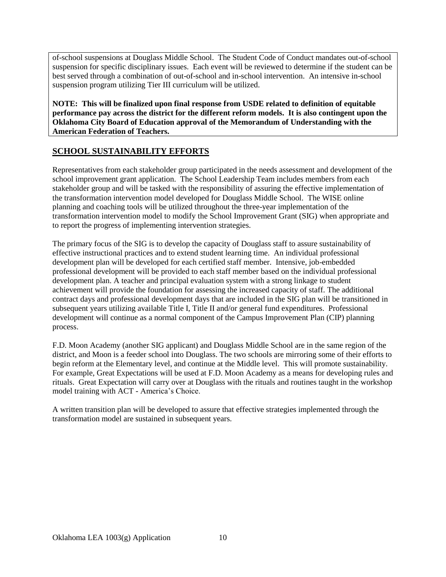of-school suspensions at Douglass Middle School. The Student Code of Conduct mandates out-of-school suspension for specific disciplinary issues. Each event will be reviewed to determine if the student can be best served through a combination of out-of-school and in-school intervention. An intensive in-school suspension program utilizing Tier III curriculum will be utilized.

**NOTE: This will be finalized upon final response from USDE related to definition of equitable performance pay across the district for the different reform models. It is also contingent upon the Oklahoma City Board of Education approval of the Memorandum of Understanding with the American Federation of Teachers.**

## **SCHOOL SUSTAINABILITY EFFORTS**

Representatives from each stakeholder group participated in the needs assessment and development of the school improvement grant application. The School Leadership Team includes members from each stakeholder group and will be tasked with the responsibility of assuring the effective implementation of the transformation intervention model developed for Douglass Middle School. The WISE online planning and coaching tools will be utilized throughout the three-year implementation of the transformation intervention model to modify the School Improvement Grant (SIG) when appropriate and to report the progress of implementing intervention strategies.

The primary focus of the SIG is to develop the capacity of Douglass staff to assure sustainability of effective instructional practices and to extend student learning time. An individual professional development plan will be developed for each certified staff member. Intensive, job-embedded professional development will be provided to each staff member based on the individual professional development plan. A teacher and principal evaluation system with a strong linkage to student achievement will provide the foundation for assessing the increased capacity of staff. The additional contract days and professional development days that are included in the SIG plan will be transitioned in subsequent years utilizing available Title I, Title II and/or general fund expenditures. Professional development will continue as a normal component of the Campus Improvement Plan (CIP) planning process.

F.D. Moon Academy (another SIG applicant) and Douglass Middle School are in the same region of the district, and Moon is a feeder school into Douglass. The two schools are mirroring some of their efforts to begin reform at the Elementary level, and continue at the Middle level. This will promote sustainability. For example, Great Expectations will be used at F.D. Moon Academy as a means for developing rules and rituals. Great Expectation will carry over at Douglass with the rituals and routines taught in the workshop model training with ACT - America's Choice.

A written transition plan will be developed to assure that effective strategies implemented through the transformation model are sustained in subsequent years.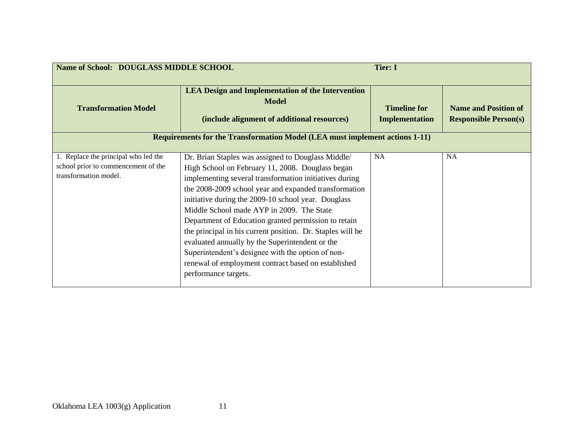| Name of School: DOUGLASS MIDDLE SCHOOL                                                               |                                                                                                                                                                                                                                                                                                                                                                                                                                                                                                                                                                                                                                            | <b>Tier: I</b>                               |                                                             |
|------------------------------------------------------------------------------------------------------|--------------------------------------------------------------------------------------------------------------------------------------------------------------------------------------------------------------------------------------------------------------------------------------------------------------------------------------------------------------------------------------------------------------------------------------------------------------------------------------------------------------------------------------------------------------------------------------------------------------------------------------------|----------------------------------------------|-------------------------------------------------------------|
| <b>Transformation Model</b>                                                                          | <b>LEA Design and Implementation of the Intervention</b><br><b>Model</b><br>(include alignment of additional resources)                                                                                                                                                                                                                                                                                                                                                                                                                                                                                                                    | <b>Timeline for</b><br><b>Implementation</b> | <b>Name and Position of</b><br><b>Responsible Person(s)</b> |
|                                                                                                      | <b>Requirements for the Transformation Model (LEA must implement actions 1-11)</b>                                                                                                                                                                                                                                                                                                                                                                                                                                                                                                                                                         |                                              |                                                             |
| 1. Replace the principal who led the<br>school prior to commencement of the<br>transformation model. | Dr. Brian Staples was assigned to Douglass Middle/<br>High School on February 11, 2008. Douglass began<br>implementing several transformation initiatives during<br>the 2008-2009 school year and expanded transformation<br>initiative during the 2009-10 school year. Douglass<br>Middle School made AYP in 2009. The State<br>Department of Education granted permission to retain<br>the principal in his current position. Dr. Staples will be<br>evaluated annually by the Superintendent or the<br>Superintendent's designee with the option of non-<br>renewal of employment contract based on established<br>performance targets. | <b>NA</b>                                    | <b>NA</b>                                                   |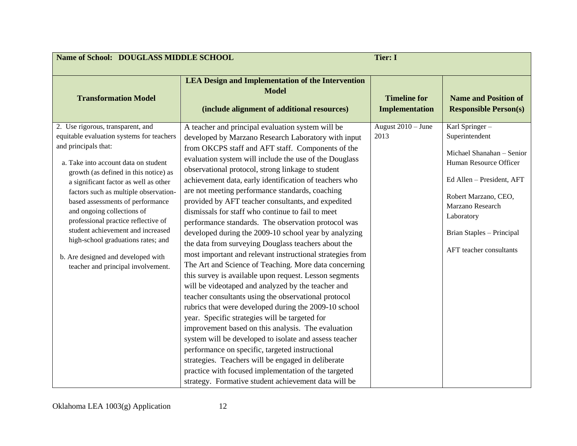| Name of School: DOUGLASS MIDDLE SCHOOL                                                                                                                                                                                                                                                                                                                                                                                                                                                                                                    |                                                                                                                                                                                                                                                                                                                                                                                                                                                                                                                                                                                                                                                                                                                                                                                                                                                                                                                                                                                                                                                                                                                                                                                                                                                                                                                                                                                                                               | <b>Tier: I</b>                               |                                                                                                                                                                                                                                        |
|-------------------------------------------------------------------------------------------------------------------------------------------------------------------------------------------------------------------------------------------------------------------------------------------------------------------------------------------------------------------------------------------------------------------------------------------------------------------------------------------------------------------------------------------|-------------------------------------------------------------------------------------------------------------------------------------------------------------------------------------------------------------------------------------------------------------------------------------------------------------------------------------------------------------------------------------------------------------------------------------------------------------------------------------------------------------------------------------------------------------------------------------------------------------------------------------------------------------------------------------------------------------------------------------------------------------------------------------------------------------------------------------------------------------------------------------------------------------------------------------------------------------------------------------------------------------------------------------------------------------------------------------------------------------------------------------------------------------------------------------------------------------------------------------------------------------------------------------------------------------------------------------------------------------------------------------------------------------------------------|----------------------------------------------|----------------------------------------------------------------------------------------------------------------------------------------------------------------------------------------------------------------------------------------|
| <b>Transformation Model</b>                                                                                                                                                                                                                                                                                                                                                                                                                                                                                                               | <b>LEA Design and Implementation of the Intervention</b><br><b>Model</b><br>(include alignment of additional resources)                                                                                                                                                                                                                                                                                                                                                                                                                                                                                                                                                                                                                                                                                                                                                                                                                                                                                                                                                                                                                                                                                                                                                                                                                                                                                                       | <b>Timeline for</b><br><b>Implementation</b> | <b>Name and Position of</b><br><b>Responsible Person(s)</b>                                                                                                                                                                            |
| 2. Use rigorous, transparent, and<br>equitable evaluation systems for teachers<br>and principals that:<br>a. Take into account data on student<br>growth (as defined in this notice) as<br>a significant factor as well as other<br>factors such as multiple observation-<br>based assessments of performance<br>and ongoing collections of<br>professional practice reflective of<br>student achievement and increased<br>high-school graduations rates; and<br>b. Are designed and developed with<br>teacher and principal involvement. | A teacher and principal evaluation system will be<br>developed by Marzano Research Laboratory with input<br>from OKCPS staff and AFT staff. Components of the<br>evaluation system will include the use of the Douglass<br>observational protocol, strong linkage to student<br>achievement data, early identification of teachers who<br>are not meeting performance standards, coaching<br>provided by AFT teacher consultants, and expedited<br>dismissals for staff who continue to fail to meet<br>performance standards. The observation protocol was<br>developed during the 2009-10 school year by analyzing<br>the data from surveying Douglass teachers about the<br>most important and relevant instructional strategies from<br>The Art and Science of Teaching. More data concerning<br>this survey is available upon request. Lesson segments<br>will be videotaped and analyzed by the teacher and<br>teacher consultants using the observational protocol<br>rubrics that were developed during the 2009-10 school<br>year. Specific strategies will be targeted for<br>improvement based on this analysis. The evaluation<br>system will be developed to isolate and assess teacher<br>performance on specific, targeted instructional<br>strategies. Teachers will be engaged in deliberate<br>practice with focused implementation of the targeted<br>strategy. Formative student achievement data will be | August 2010 - June<br>2013                   | Karl Springer-<br>Superintendent<br>Michael Shanahan - Senior<br>Human Resource Officer<br>Ed Allen - President, AFT<br>Robert Marzano, CEO,<br>Marzano Research<br>Laboratory<br>Brian Staples - Principal<br>AFT teacher consultants |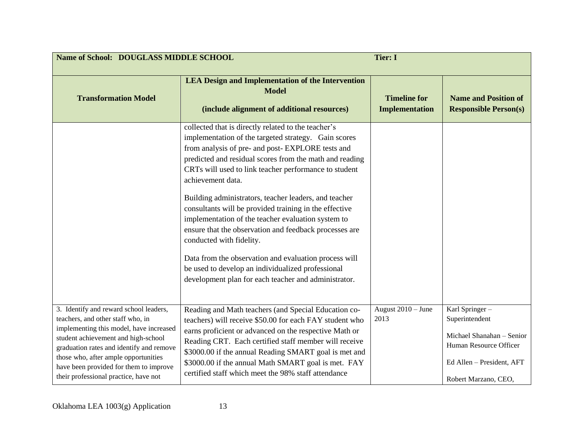| Name of School: DOUGLASS MIDDLE SCHOOL                                                                                                                                                                                                                                                                                               |                                                                                                                                                                                                                                                                                                                                                                                                                                                                                                                                                                                                                                                                                                                                               | <b>Tier: I</b>                               |                                                                                                                                              |
|--------------------------------------------------------------------------------------------------------------------------------------------------------------------------------------------------------------------------------------------------------------------------------------------------------------------------------------|-----------------------------------------------------------------------------------------------------------------------------------------------------------------------------------------------------------------------------------------------------------------------------------------------------------------------------------------------------------------------------------------------------------------------------------------------------------------------------------------------------------------------------------------------------------------------------------------------------------------------------------------------------------------------------------------------------------------------------------------------|----------------------------------------------|----------------------------------------------------------------------------------------------------------------------------------------------|
| <b>Transformation Model</b>                                                                                                                                                                                                                                                                                                          | <b>LEA Design and Implementation of the Intervention</b><br><b>Model</b><br>(include alignment of additional resources)                                                                                                                                                                                                                                                                                                                                                                                                                                                                                                                                                                                                                       | <b>Timeline for</b><br><b>Implementation</b> | <b>Name and Position of</b><br><b>Responsible Person(s)</b>                                                                                  |
|                                                                                                                                                                                                                                                                                                                                      | collected that is directly related to the teacher's<br>implementation of the targeted strategy. Gain scores<br>from analysis of pre- and post-EXPLORE tests and<br>predicted and residual scores from the math and reading<br>CRTs will used to link teacher performance to student<br>achievement data.<br>Building administrators, teacher leaders, and teacher<br>consultants will be provided training in the effective<br>implementation of the teacher evaluation system to<br>ensure that the observation and feedback processes are<br>conducted with fidelity.<br>Data from the observation and evaluation process will<br>be used to develop an individualized professional<br>development plan for each teacher and administrator. |                                              |                                                                                                                                              |
| 3. Identify and reward school leaders,<br>teachers, and other staff who, in<br>implementing this model, have increased<br>student achievement and high-school<br>graduation rates and identify and remove<br>those who, after ample opportunities<br>have been provided for them to improve<br>their professional practice, have not | Reading and Math teachers (and Special Education co-<br>teachers) will receive \$50.00 for each FAY student who<br>earns proficient or advanced on the respective Math or<br>Reading CRT. Each certified staff member will receive<br>\$3000.00 if the annual Reading SMART goal is met and<br>\$3000.00 if the annual Math SMART goal is met. FAY<br>certified staff which meet the 98% staff attendance                                                                                                                                                                                                                                                                                                                                     | August $2010 -$ June<br>2013                 | Karl Springer-<br>Superintendent<br>Michael Shanahan - Senior<br>Human Resource Officer<br>Ed Allen - President, AFT<br>Robert Marzano, CEO, |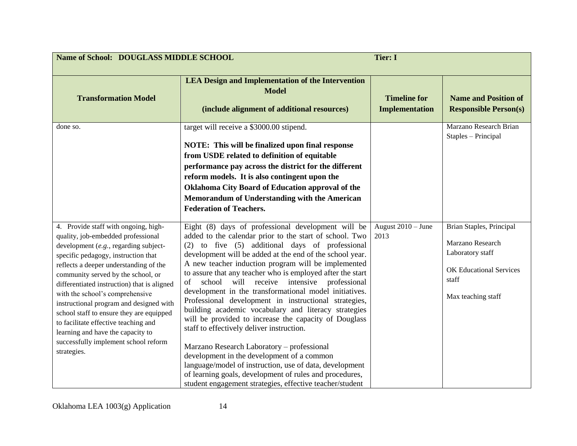| Name of School: DOUGLASS MIDDLE SCHOOL                                                                                                                                                                                                                                                                                                                                                                                                                                                                                                                  |                                                                                                                                                                                                                                                                                                                                                                                                                                                                                                                                                                                                                                                                                                                                                                                                                                                                                                                                                                      | <b>Tier: I</b>                               |                                                                                                                                   |
|---------------------------------------------------------------------------------------------------------------------------------------------------------------------------------------------------------------------------------------------------------------------------------------------------------------------------------------------------------------------------------------------------------------------------------------------------------------------------------------------------------------------------------------------------------|----------------------------------------------------------------------------------------------------------------------------------------------------------------------------------------------------------------------------------------------------------------------------------------------------------------------------------------------------------------------------------------------------------------------------------------------------------------------------------------------------------------------------------------------------------------------------------------------------------------------------------------------------------------------------------------------------------------------------------------------------------------------------------------------------------------------------------------------------------------------------------------------------------------------------------------------------------------------|----------------------------------------------|-----------------------------------------------------------------------------------------------------------------------------------|
| <b>Transformation Model</b>                                                                                                                                                                                                                                                                                                                                                                                                                                                                                                                             | <b>LEA Design and Implementation of the Intervention</b><br><b>Model</b><br>(include alignment of additional resources)                                                                                                                                                                                                                                                                                                                                                                                                                                                                                                                                                                                                                                                                                                                                                                                                                                              | <b>Timeline for</b><br><b>Implementation</b> | <b>Name and Position of</b><br><b>Responsible Person(s)</b>                                                                       |
| done so.                                                                                                                                                                                                                                                                                                                                                                                                                                                                                                                                                | target will receive a \$3000.00 stipend.<br>NOTE: This will be finalized upon final response<br>from USDE related to definition of equitable<br>performance pay across the district for the different<br>reform models. It is also contingent upon the<br><b>Oklahoma City Board of Education approval of the</b><br>Memorandum of Understanding with the American<br><b>Federation of Teachers.</b>                                                                                                                                                                                                                                                                                                                                                                                                                                                                                                                                                                 |                                              | Marzano Research Brian<br>Staples - Principal                                                                                     |
| 4. Provide staff with ongoing, high-<br>quality, job-embedded professional<br>development (e.g., regarding subject-<br>specific pedagogy, instruction that<br>reflects a deeper understanding of the<br>community served by the school, or<br>differentiated instruction) that is aligned<br>with the school's comprehensive<br>instructional program and designed with<br>school staff to ensure they are equipped<br>to facilitate effective teaching and<br>learning and have the capacity to<br>successfully implement school reform<br>strategies. | Eight (8) days of professional development will be<br>added to the calendar prior to the start of school. Two<br>(2) to five (5) additional days of professional<br>development will be added at the end of the school year.<br>A new teacher induction program will be implemented<br>to assure that any teacher who is employed after the start<br>school will receive intensive professional<br>of<br>development in the transformational model initiatives.<br>Professional development in instructional strategies,<br>building academic vocabulary and literacy strategies<br>will be provided to increase the capacity of Douglass<br>staff to effectively deliver instruction.<br>Marzano Research Laboratory - professional<br>development in the development of a common<br>language/model of instruction, use of data, development<br>of learning goals, development of rules and procedures,<br>student engagement strategies, effective teacher/student | August $2010 - June$<br>2013                 | Brian Staples, Principal<br>Marzano Research<br>Laboratory staff<br><b>OK Educational Services</b><br>staff<br>Max teaching staff |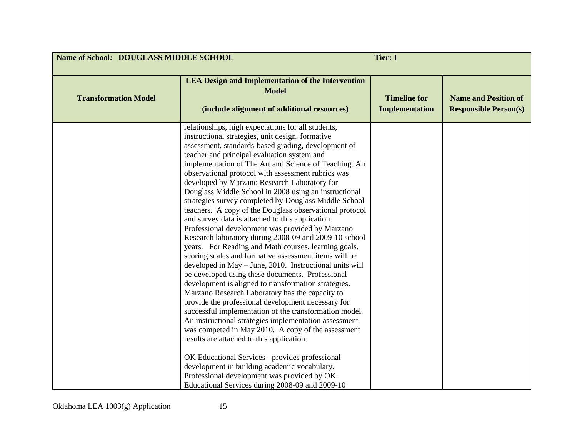| Name of School: DOUGLASS MIDDLE SCHOOL |                                                                                                                                                                                                                                                                                                                                                                                                                                                                                                                                                                                                                                                                                                                                                                                                                                                                                                                                                                                                                                                                                                                                                                                                                                                                                                                                                                                                                                                                                                                                                       | <b>Tier: I</b>                               |                                                             |
|----------------------------------------|-------------------------------------------------------------------------------------------------------------------------------------------------------------------------------------------------------------------------------------------------------------------------------------------------------------------------------------------------------------------------------------------------------------------------------------------------------------------------------------------------------------------------------------------------------------------------------------------------------------------------------------------------------------------------------------------------------------------------------------------------------------------------------------------------------------------------------------------------------------------------------------------------------------------------------------------------------------------------------------------------------------------------------------------------------------------------------------------------------------------------------------------------------------------------------------------------------------------------------------------------------------------------------------------------------------------------------------------------------------------------------------------------------------------------------------------------------------------------------------------------------------------------------------------------------|----------------------------------------------|-------------------------------------------------------------|
| <b>Transformation Model</b>            | <b>LEA Design and Implementation of the Intervention</b><br><b>Model</b><br>(include alignment of additional resources)                                                                                                                                                                                                                                                                                                                                                                                                                                                                                                                                                                                                                                                                                                                                                                                                                                                                                                                                                                                                                                                                                                                                                                                                                                                                                                                                                                                                                               | <b>Timeline for</b><br><b>Implementation</b> | <b>Name and Position of</b><br><b>Responsible Person(s)</b> |
|                                        | relationships, high expectations for all students,<br>instructional strategies, unit design, formative<br>assessment, standards-based grading, development of<br>teacher and principal evaluation system and<br>implementation of The Art and Science of Teaching. An<br>observational protocol with assessment rubrics was<br>developed by Marzano Research Laboratory for<br>Douglass Middle School in 2008 using an instructional<br>strategies survey completed by Douglass Middle School<br>teachers. A copy of the Douglass observational protocol<br>and survey data is attached to this application.<br>Professional development was provided by Marzano<br>Research laboratory during 2008-09 and 2009-10 school<br>years. For Reading and Math courses, learning goals,<br>scoring scales and formative assessment items will be<br>developed in May - June, 2010. Instructional units will<br>be developed using these documents. Professional<br>development is aligned to transformation strategies.<br>Marzano Research Laboratory has the capacity to<br>provide the professional development necessary for<br>successful implementation of the transformation model.<br>An instructional strategies implementation assessment<br>was competed in May 2010. A copy of the assessment<br>results are attached to this application.<br>OK Educational Services - provides professional<br>development in building academic vocabulary.<br>Professional development was provided by OK<br>Educational Services during 2008-09 and 2009-10 |                                              |                                                             |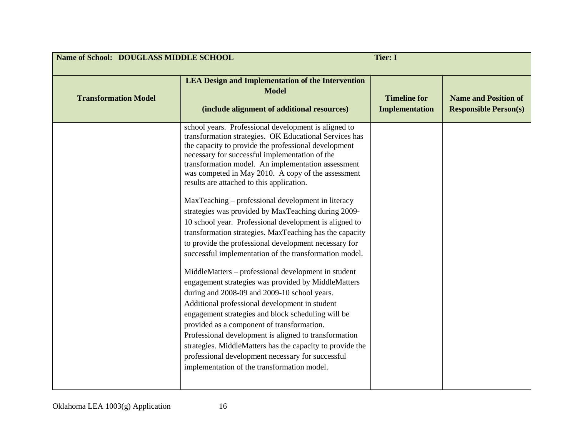| Name of School: DOUGLASS MIDDLE SCHOOL<br><b>Tier: I</b> |                                                                                                                                                                                                                                                                                                                                                                                                                                                                                                                                                                                                                                                                                                                                                                                                                                                                                                                                                                                                                                                                                                                                                                                                                                                                                      |                                              |                                                             |
|----------------------------------------------------------|--------------------------------------------------------------------------------------------------------------------------------------------------------------------------------------------------------------------------------------------------------------------------------------------------------------------------------------------------------------------------------------------------------------------------------------------------------------------------------------------------------------------------------------------------------------------------------------------------------------------------------------------------------------------------------------------------------------------------------------------------------------------------------------------------------------------------------------------------------------------------------------------------------------------------------------------------------------------------------------------------------------------------------------------------------------------------------------------------------------------------------------------------------------------------------------------------------------------------------------------------------------------------------------|----------------------------------------------|-------------------------------------------------------------|
| <b>Transformation Model</b>                              | <b>LEA Design and Implementation of the Intervention</b><br><b>Model</b><br>(include alignment of additional resources)                                                                                                                                                                                                                                                                                                                                                                                                                                                                                                                                                                                                                                                                                                                                                                                                                                                                                                                                                                                                                                                                                                                                                              | <b>Timeline for</b><br><b>Implementation</b> | <b>Name and Position of</b><br><b>Responsible Person(s)</b> |
|                                                          | school years. Professional development is aligned to<br>transformation strategies. OK Educational Services has<br>the capacity to provide the professional development<br>necessary for successful implementation of the<br>transformation model. An implementation assessment<br>was competed in May 2010. A copy of the assessment<br>results are attached to this application.<br>MaxTeaching – professional development in literacy<br>strategies was provided by MaxTeaching during 2009-<br>10 school year. Professional development is aligned to<br>transformation strategies. MaxTeaching has the capacity<br>to provide the professional development necessary for<br>successful implementation of the transformation model.<br>MiddleMatters – professional development in student<br>engagement strategies was provided by MiddleMatters<br>during and 2008-09 and 2009-10 school years.<br>Additional professional development in student<br>engagement strategies and block scheduling will be<br>provided as a component of transformation.<br>Professional development is aligned to transformation<br>strategies. MiddleMatters has the capacity to provide the<br>professional development necessary for successful<br>implementation of the transformation model. |                                              |                                                             |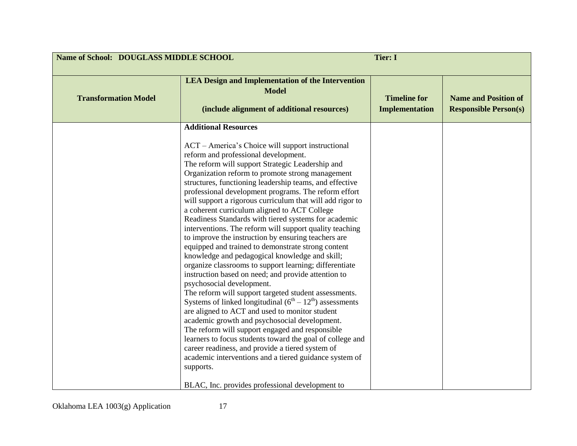| Name of School: DOUGLASS MIDDLE SCHOOL |                                                                                                                                                                                                                                                                                                                                                                                                                                                                                                                                                                                                                                                                                                                                                                                                                                                                                                                                                                                                                                                                                                                                                                                                                                                                                                                                                                                                                         | <b>Tier: I</b>                               |                                                             |
|----------------------------------------|-------------------------------------------------------------------------------------------------------------------------------------------------------------------------------------------------------------------------------------------------------------------------------------------------------------------------------------------------------------------------------------------------------------------------------------------------------------------------------------------------------------------------------------------------------------------------------------------------------------------------------------------------------------------------------------------------------------------------------------------------------------------------------------------------------------------------------------------------------------------------------------------------------------------------------------------------------------------------------------------------------------------------------------------------------------------------------------------------------------------------------------------------------------------------------------------------------------------------------------------------------------------------------------------------------------------------------------------------------------------------------------------------------------------------|----------------------------------------------|-------------------------------------------------------------|
| <b>Transformation Model</b>            | <b>LEA Design and Implementation of the Intervention</b><br><b>Model</b><br>(include alignment of additional resources)                                                                                                                                                                                                                                                                                                                                                                                                                                                                                                                                                                                                                                                                                                                                                                                                                                                                                                                                                                                                                                                                                                                                                                                                                                                                                                 | <b>Timeline for</b><br><b>Implementation</b> | <b>Name and Position of</b><br><b>Responsible Person(s)</b> |
|                                        | <b>Additional Resources</b><br>ACT – America's Choice will support instructional<br>reform and professional development.<br>The reform will support Strategic Leadership and<br>Organization reform to promote strong management<br>structures, functioning leadership teams, and effective<br>professional development programs. The reform effort<br>will support a rigorous curriculum that will add rigor to<br>a coherent curriculum aligned to ACT College<br>Readiness Standards with tiered systems for academic<br>interventions. The reform will support quality teaching<br>to improve the instruction by ensuring teachers are<br>equipped and trained to demonstrate strong content<br>knowledge and pedagogical knowledge and skill;<br>organize classrooms to support learning; differentiate<br>instruction based on need; and provide attention to<br>psychosocial development.<br>The reform will support targeted student assessments.<br>Systems of linked longitudinal $(6th – 12th)$ assessments<br>are aligned to ACT and used to monitor student<br>academic growth and psychosocial development.<br>The reform will support engaged and responsible<br>learners to focus students toward the goal of college and<br>career readiness, and provide a tiered system of<br>academic interventions and a tiered guidance system of<br>supports.<br>BLAC, Inc. provides professional development to |                                              |                                                             |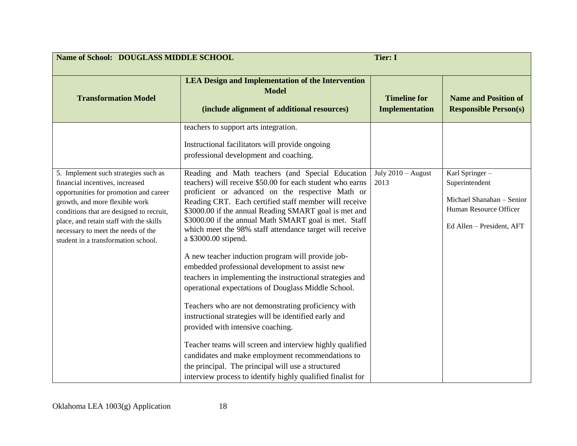| Name of School: DOUGLASS MIDDLE SCHOOL                                                                                                                                                                                                                                                                                  |                                                                                                                                                                                                                                                                                                                                                                                                                                                                                                                                         | <b>Tier: I</b>                               |                                                                                                                      |
|-------------------------------------------------------------------------------------------------------------------------------------------------------------------------------------------------------------------------------------------------------------------------------------------------------------------------|-----------------------------------------------------------------------------------------------------------------------------------------------------------------------------------------------------------------------------------------------------------------------------------------------------------------------------------------------------------------------------------------------------------------------------------------------------------------------------------------------------------------------------------------|----------------------------------------------|----------------------------------------------------------------------------------------------------------------------|
| <b>Transformation Model</b>                                                                                                                                                                                                                                                                                             | <b>LEA Design and Implementation of the Intervention</b><br><b>Model</b><br>(include alignment of additional resources)                                                                                                                                                                                                                                                                                                                                                                                                                 | <b>Timeline for</b><br><b>Implementation</b> | <b>Name and Position of</b><br><b>Responsible Person(s)</b>                                                          |
|                                                                                                                                                                                                                                                                                                                         | teachers to support arts integration.<br>Instructional facilitators will provide ongoing<br>professional development and coaching.                                                                                                                                                                                                                                                                                                                                                                                                      |                                              |                                                                                                                      |
| 5. Implement such strategies such as<br>financial incentives, increased<br>opportunities for promotion and career<br>growth, and more flexible work<br>conditions that are designed to recruit,<br>place, and retain staff with the skills<br>necessary to meet the needs of the<br>student in a transformation school. | Reading and Math teachers (and Special Education<br>teachers) will receive \$50.00 for each student who earns<br>proficient or advanced on the respective Math or<br>Reading CRT. Each certified staff member will receive<br>\$3000.00 if the annual Reading SMART goal is met and<br>\$3000.00 if the annual Math SMART goal is met. Staff<br>which meet the 98% staff attendance target will receive<br>a \$3000.00 stipend.<br>A new teacher induction program will provide job-<br>embedded professional development to assist new | July $2010 -$ August<br>2013                 | Karl Springer-<br>Superintendent<br>Michael Shanahan - Senior<br>Human Resource Officer<br>Ed Allen - President, AFT |
|                                                                                                                                                                                                                                                                                                                         | teachers in implementing the instructional strategies and<br>operational expectations of Douglass Middle School.<br>Teachers who are not demonstrating proficiency with<br>instructional strategies will be identified early and<br>provided with intensive coaching.<br>Teacher teams will screen and interview highly qualified<br>candidates and make employment recommendations to<br>the principal. The principal will use a structured<br>interview process to identify highly qualified finalist for                             |                                              |                                                                                                                      |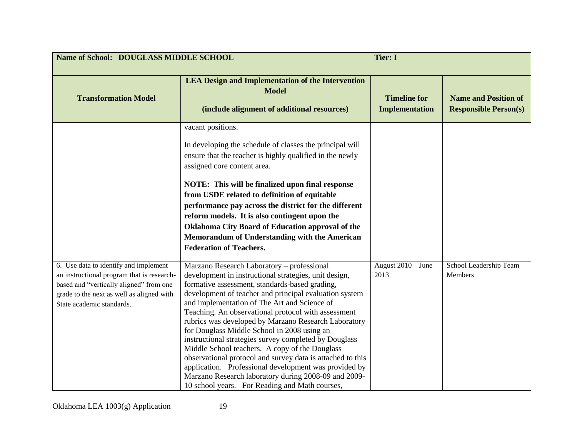| Name of School: DOUGLASS MIDDLE SCHOOL                                                                                                                                                                   | <b>Tier: I</b>                                                                                                                                                                                                                                                                                                                                                                                                                                                                                                                                                                                                                                                                                                                                                            |                                              |                                                             |
|----------------------------------------------------------------------------------------------------------------------------------------------------------------------------------------------------------|---------------------------------------------------------------------------------------------------------------------------------------------------------------------------------------------------------------------------------------------------------------------------------------------------------------------------------------------------------------------------------------------------------------------------------------------------------------------------------------------------------------------------------------------------------------------------------------------------------------------------------------------------------------------------------------------------------------------------------------------------------------------------|----------------------------------------------|-------------------------------------------------------------|
| <b>Transformation Model</b>                                                                                                                                                                              | <b>LEA Design and Implementation of the Intervention</b><br><b>Model</b><br>(include alignment of additional resources)                                                                                                                                                                                                                                                                                                                                                                                                                                                                                                                                                                                                                                                   | <b>Timeline for</b><br><b>Implementation</b> | <b>Name and Position of</b><br><b>Responsible Person(s)</b> |
|                                                                                                                                                                                                          | vacant positions.<br>In developing the schedule of classes the principal will<br>ensure that the teacher is highly qualified in the newly<br>assigned core content area.<br>NOTE: This will be finalized upon final response<br>from USDE related to definition of equitable<br>performance pay across the district for the different<br>reform models. It is also contingent upon the<br>Oklahoma City Board of Education approval of the<br>Memorandum of Understanding with the American<br><b>Federation of Teachers.</b>                                                                                                                                                                                                                                             |                                              |                                                             |
| 6. Use data to identify and implement<br>an instructional program that is research-<br>based and "vertically aligned" from one<br>grade to the next as well as aligned with<br>State academic standards. | Marzano Research Laboratory - professional<br>development in instructional strategies, unit design,<br>formative assessment, standards-based grading,<br>development of teacher and principal evaluation system<br>and implementation of The Art and Science of<br>Teaching. An observational protocol with assessment<br>rubrics was developed by Marzano Research Laboratory<br>for Douglass Middle School in 2008 using an<br>instructional strategies survey completed by Douglass<br>Middle School teachers. A copy of the Douglass<br>observational protocol and survey data is attached to this<br>application. Professional development was provided by<br>Marzano Research laboratory during 2008-09 and 2009-<br>10 school years. For Reading and Math courses, | August $2010 -$ June<br>2013                 | School Leadership Team<br>Members                           |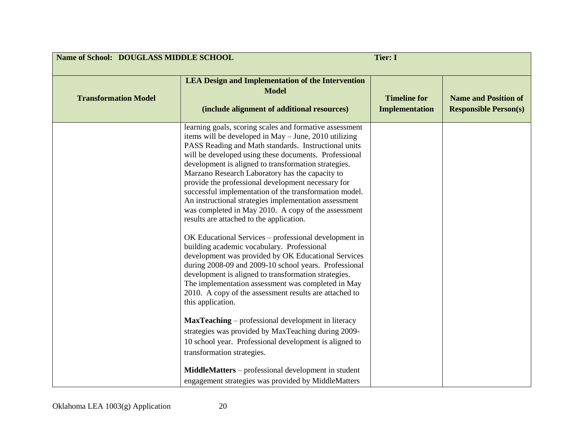| Name of School: DOUGLASS MIDDLE SCHOOL<br><b>Tier: I</b> |                                                                                                                                                                                                                                                                                                                                                                                                                                                                                                                                                                                                                                                                                                                                                                                                                                                                                                                                                                                                                                                                                                                                                                                                                                                          |                                              |                                                             |
|----------------------------------------------------------|----------------------------------------------------------------------------------------------------------------------------------------------------------------------------------------------------------------------------------------------------------------------------------------------------------------------------------------------------------------------------------------------------------------------------------------------------------------------------------------------------------------------------------------------------------------------------------------------------------------------------------------------------------------------------------------------------------------------------------------------------------------------------------------------------------------------------------------------------------------------------------------------------------------------------------------------------------------------------------------------------------------------------------------------------------------------------------------------------------------------------------------------------------------------------------------------------------------------------------------------------------|----------------------------------------------|-------------------------------------------------------------|
| <b>Transformation Model</b>                              | <b>LEA Design and Implementation of the Intervention</b><br><b>Model</b><br>(include alignment of additional resources)                                                                                                                                                                                                                                                                                                                                                                                                                                                                                                                                                                                                                                                                                                                                                                                                                                                                                                                                                                                                                                                                                                                                  | <b>Timeline for</b><br><b>Implementation</b> | <b>Name and Position of</b><br><b>Responsible Person(s)</b> |
|                                                          | learning goals, scoring scales and formative assessment<br>items will be developed in May - June, 2010 utilizing<br>PASS Reading and Math standards. Instructional units<br>will be developed using these documents. Professional<br>development is aligned to transformation strategies.<br>Marzano Research Laboratory has the capacity to<br>provide the professional development necessary for<br>successful implementation of the transformation model.<br>An instructional strategies implementation assessment<br>was completed in May 2010. A copy of the assessment<br>results are attached to the application.<br>OK Educational Services – professional development in<br>building academic vocabulary. Professional<br>development was provided by OK Educational Services<br>during 2008-09 and 2009-10 school years. Professional<br>development is aligned to transformation strategies.<br>The implementation assessment was completed in May<br>2010. A copy of the assessment results are attached to<br>this application.<br><b>MaxTeaching</b> – professional development in literacy<br>strategies was provided by MaxTeaching during 2009-<br>10 school year. Professional development is aligned to<br>transformation strategies. |                                              |                                                             |
|                                                          | MiddleMatters – professional development in student<br>engagement strategies was provided by MiddleMatters                                                                                                                                                                                                                                                                                                                                                                                                                                                                                                                                                                                                                                                                                                                                                                                                                                                                                                                                                                                                                                                                                                                                               |                                              |                                                             |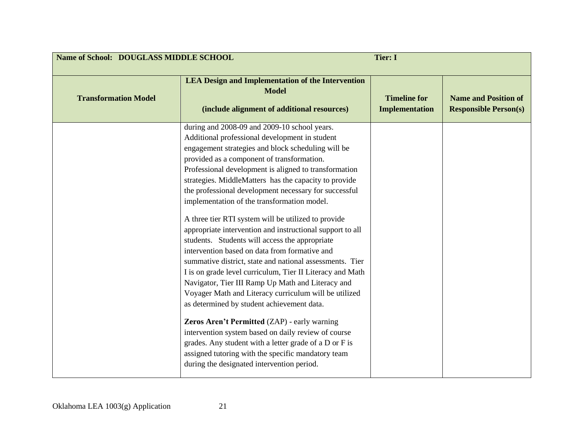| Name of School: DOUGLASS MIDDLE SCHOOL<br><b>Tier: I</b> |                                                                                                                                                                                                                                                                                                                                                                                                                                                                                                                                                                                                                                                                                                                                                                                                                                                                                                                                                                                                                                                                                                                                                                                                               |                                              |                                                             |
|----------------------------------------------------------|---------------------------------------------------------------------------------------------------------------------------------------------------------------------------------------------------------------------------------------------------------------------------------------------------------------------------------------------------------------------------------------------------------------------------------------------------------------------------------------------------------------------------------------------------------------------------------------------------------------------------------------------------------------------------------------------------------------------------------------------------------------------------------------------------------------------------------------------------------------------------------------------------------------------------------------------------------------------------------------------------------------------------------------------------------------------------------------------------------------------------------------------------------------------------------------------------------------|----------------------------------------------|-------------------------------------------------------------|
| <b>Transformation Model</b>                              | <b>LEA Design and Implementation of the Intervention</b><br><b>Model</b><br>(include alignment of additional resources)                                                                                                                                                                                                                                                                                                                                                                                                                                                                                                                                                                                                                                                                                                                                                                                                                                                                                                                                                                                                                                                                                       | <b>Timeline for</b><br><b>Implementation</b> | <b>Name and Position of</b><br><b>Responsible Person(s)</b> |
|                                                          | during and 2008-09 and 2009-10 school years.<br>Additional professional development in student<br>engagement strategies and block scheduling will be<br>provided as a component of transformation.<br>Professional development is aligned to transformation<br>strategies. MiddleMatters has the capacity to provide<br>the professional development necessary for successful<br>implementation of the transformation model.<br>A three tier RTI system will be utilized to provide<br>appropriate intervention and instructional support to all<br>students. Students will access the appropriate<br>intervention based on data from formative and<br>summative district, state and national assessments. Tier<br>I is on grade level curriculum, Tier II Literacy and Math<br>Navigator, Tier III Ramp Up Math and Literacy and<br>Voyager Math and Literacy curriculum will be utilized<br>as determined by student achievement data.<br>Zeros Aren't Permitted (ZAP) - early warning<br>intervention system based on daily review of course<br>grades. Any student with a letter grade of a D or F is<br>assigned tutoring with the specific mandatory team<br>during the designated intervention period. |                                              |                                                             |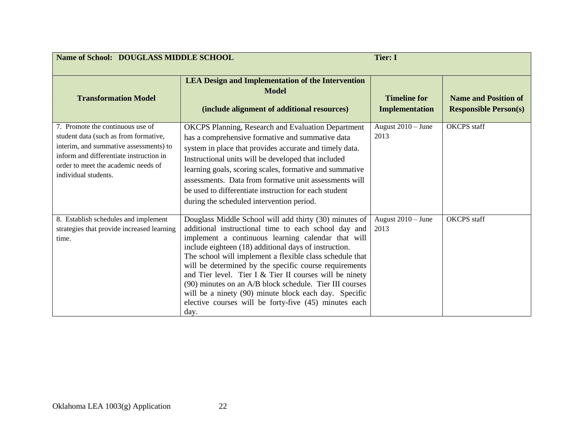| Name of School: DOUGLASS MIDDLE SCHOOL                                                                                                                                                                                        |                                                                                                                                                                                                                                                                                                                                                                                                                                                                                                                                                                                                       | <b>Tier: I</b>                               |                                                             |
|-------------------------------------------------------------------------------------------------------------------------------------------------------------------------------------------------------------------------------|-------------------------------------------------------------------------------------------------------------------------------------------------------------------------------------------------------------------------------------------------------------------------------------------------------------------------------------------------------------------------------------------------------------------------------------------------------------------------------------------------------------------------------------------------------------------------------------------------------|----------------------------------------------|-------------------------------------------------------------|
| <b>Transformation Model</b>                                                                                                                                                                                                   | <b>LEA Design and Implementation of the Intervention</b><br><b>Model</b><br>(include alignment of additional resources)                                                                                                                                                                                                                                                                                                                                                                                                                                                                               | <b>Timeline for</b><br><b>Implementation</b> | <b>Name and Position of</b><br><b>Responsible Person(s)</b> |
| 7. Promote the continuous use of<br>student data (such as from formative,<br>interim, and summative assessments) to<br>inform and differentiate instruction in<br>order to meet the academic needs of<br>individual students. | <b>OKCPS</b> Planning, Research and Evaluation Department<br>has a comprehensive formative and summative data<br>system in place that provides accurate and timely data.<br>Instructional units will be developed that included<br>learning goals, scoring scales, formative and summative<br>assessments. Data from formative unit assessments will<br>be used to differentiate instruction for each student<br>during the scheduled intervention period.                                                                                                                                            | August 2010 - June<br>2013                   | OKCPS staff                                                 |
| 8. Establish schedules and implement<br>strategies that provide increased learning<br>time.                                                                                                                                   | Douglass Middle School will add thirty (30) minutes of<br>additional instructional time to each school day and<br>implement a continuous learning calendar that will<br>include eighteen (18) additional days of instruction.<br>The school will implement a flexible class schedule that<br>will be determined by the specific course requirements<br>and Tier level. Tier I $&$ Tier II courses will be ninety<br>(90) minutes on an A/B block schedule. Tier III courses<br>will be a ninety (90) minute block each day. Specific<br>elective courses will be forty-five (45) minutes each<br>day. | August 2010 - June<br>2013                   | <b>OKCPS</b> staff                                          |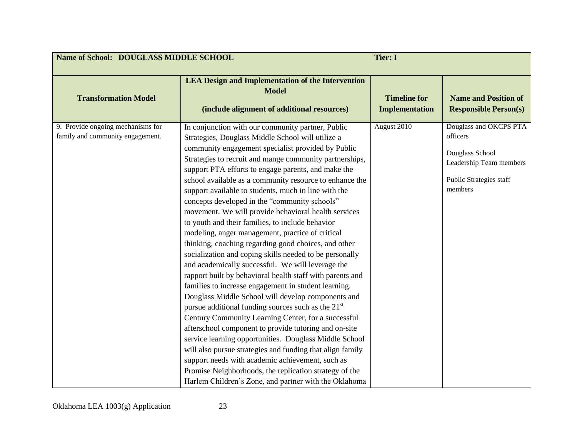| Name of School: DOUGLASS MIDDLE SCHOOL                                |                                                                                                                                                                                                                                                                                                                                                                                                                                                                                                                                                                                                                                                                                                                                                                                                                                                                                                                                                                                                                                                                                                                                                                                                                                                                                                                                                                                                                                                       | <b>Tier: I</b>                               |                                                                                                                        |
|-----------------------------------------------------------------------|-------------------------------------------------------------------------------------------------------------------------------------------------------------------------------------------------------------------------------------------------------------------------------------------------------------------------------------------------------------------------------------------------------------------------------------------------------------------------------------------------------------------------------------------------------------------------------------------------------------------------------------------------------------------------------------------------------------------------------------------------------------------------------------------------------------------------------------------------------------------------------------------------------------------------------------------------------------------------------------------------------------------------------------------------------------------------------------------------------------------------------------------------------------------------------------------------------------------------------------------------------------------------------------------------------------------------------------------------------------------------------------------------------------------------------------------------------|----------------------------------------------|------------------------------------------------------------------------------------------------------------------------|
| <b>Transformation Model</b>                                           | <b>LEA Design and Implementation of the Intervention</b><br><b>Model</b><br>(include alignment of additional resources)                                                                                                                                                                                                                                                                                                                                                                                                                                                                                                                                                                                                                                                                                                                                                                                                                                                                                                                                                                                                                                                                                                                                                                                                                                                                                                                               | <b>Timeline for</b><br><b>Implementation</b> | <b>Name and Position of</b><br><b>Responsible Person(s)</b>                                                            |
| 9. Provide ongoing mechanisms for<br>family and community engagement. | In conjunction with our community partner, Public<br>Strategies, Douglass Middle School will utilize a<br>community engagement specialist provided by Public<br>Strategies to recruit and mange community partnerships,<br>support PTA efforts to engage parents, and make the<br>school available as a community resource to enhance the<br>support available to students, much in line with the<br>concepts developed in the "community schools"<br>movement. We will provide behavioral health services<br>to youth and their families, to include behavior<br>modeling, anger management, practice of critical<br>thinking, coaching regarding good choices, and other<br>socialization and coping skills needed to be personally<br>and academically successful. We will leverage the<br>rapport built by behavioral health staff with parents and<br>families to increase engagement in student learning.<br>Douglass Middle School will develop components and<br>pursue additional funding sources such as the 21 <sup>st</sup><br>Century Community Learning Center, for a successful<br>afterschool component to provide tutoring and on-site<br>service learning opportunities. Douglass Middle School<br>will also pursue strategies and funding that align family<br>support needs with academic achievement, such as<br>Promise Neighborhoods, the replication strategy of the<br>Harlem Children's Zone, and partner with the Oklahoma | August 2010                                  | Douglass and OKCPS PTA<br>officers<br>Douglass School<br>Leadership Team members<br>Public Strategies staff<br>members |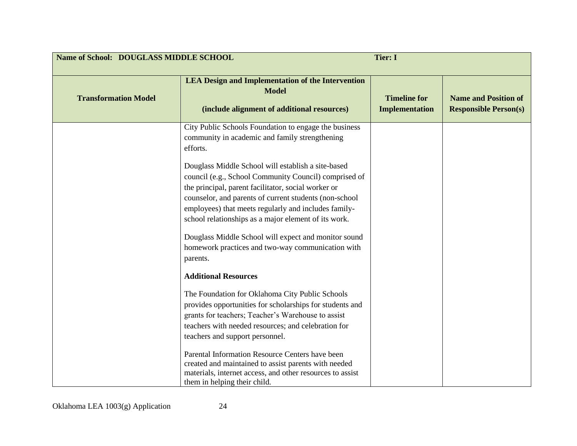| Name of School: DOUGLASS MIDDLE SCHOOL<br><b>Tier: I</b> |                                                                                                                                                                                                                                                                                                                                                                                                                                                                                                                                                                                  |                                              |                                                             |
|----------------------------------------------------------|----------------------------------------------------------------------------------------------------------------------------------------------------------------------------------------------------------------------------------------------------------------------------------------------------------------------------------------------------------------------------------------------------------------------------------------------------------------------------------------------------------------------------------------------------------------------------------|----------------------------------------------|-------------------------------------------------------------|
| <b>Transformation Model</b>                              | <b>LEA Design and Implementation of the Intervention</b><br><b>Model</b><br>(include alignment of additional resources)                                                                                                                                                                                                                                                                                                                                                                                                                                                          | <b>Timeline for</b><br><b>Implementation</b> | <b>Name and Position of</b><br><b>Responsible Person(s)</b> |
|                                                          | City Public Schools Foundation to engage the business<br>community in academic and family strengthening<br>efforts.<br>Douglass Middle School will establish a site-based<br>council (e.g., School Community Council) comprised of<br>the principal, parent facilitator, social worker or<br>counselor, and parents of current students (non-school<br>employees) that meets regularly and includes family-<br>school relationships as a major element of its work.<br>Douglass Middle School will expect and monitor sound<br>homework practices and two-way communication with |                                              |                                                             |
|                                                          | parents.<br><b>Additional Resources</b><br>The Foundation for Oklahoma City Public Schools<br>provides opportunities for scholarships for students and<br>grants for teachers; Teacher's Warehouse to assist<br>teachers with needed resources; and celebration for<br>teachers and support personnel.<br>Parental Information Resource Centers have been<br>created and maintained to assist parents with needed<br>materials, internet access, and other resources to assist<br>them in helping their child.                                                                   |                                              |                                                             |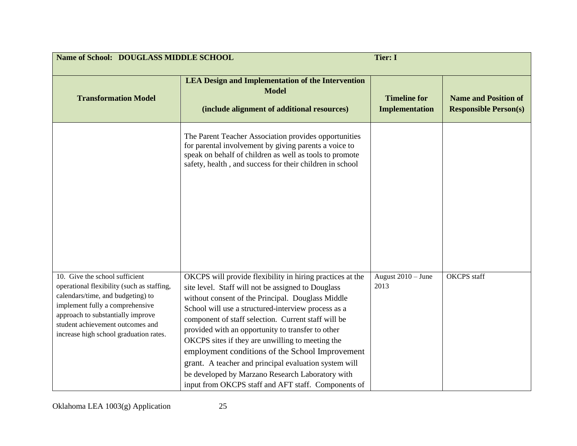| Name of School: DOUGLASS MIDDLE SCHOOL<br><b>Tier: I</b>                                                                                                                                                                                                                |                                                                                                                                                                                                                                                                                                                                                                                                                                                                                                                                                                                                                    |                                              |                                                             |  |
|-------------------------------------------------------------------------------------------------------------------------------------------------------------------------------------------------------------------------------------------------------------------------|--------------------------------------------------------------------------------------------------------------------------------------------------------------------------------------------------------------------------------------------------------------------------------------------------------------------------------------------------------------------------------------------------------------------------------------------------------------------------------------------------------------------------------------------------------------------------------------------------------------------|----------------------------------------------|-------------------------------------------------------------|--|
| <b>Transformation Model</b>                                                                                                                                                                                                                                             | <b>LEA Design and Implementation of the Intervention</b><br><b>Model</b><br>(include alignment of additional resources)                                                                                                                                                                                                                                                                                                                                                                                                                                                                                            | <b>Timeline for</b><br><b>Implementation</b> | <b>Name and Position of</b><br><b>Responsible Person(s)</b> |  |
|                                                                                                                                                                                                                                                                         | The Parent Teacher Association provides opportunities<br>for parental involvement by giving parents a voice to<br>speak on behalf of children as well as tools to promote<br>safety, health, and success for their children in school                                                                                                                                                                                                                                                                                                                                                                              |                                              |                                                             |  |
| 10. Give the school sufficient<br>operational flexibility (such as staffing,<br>calendars/time, and budgeting) to<br>implement fully a comprehensive<br>approach to substantially improve<br>student achievement outcomes and<br>increase high school graduation rates. | OKCPS will provide flexibility in hiring practices at the<br>site level. Staff will not be assigned to Douglass<br>without consent of the Principal. Douglass Middle<br>School will use a structured-interview process as a<br>component of staff selection. Current staff will be<br>provided with an opportunity to transfer to other<br>OKCPS sites if they are unwilling to meeting the<br>employment conditions of the School Improvement<br>grant. A teacher and principal evaluation system will<br>be developed by Marzano Research Laboratory with<br>input from OKCPS staff and AFT staff. Components of | August 2010 - June<br>2013                   | <b>OKCPS</b> staff                                          |  |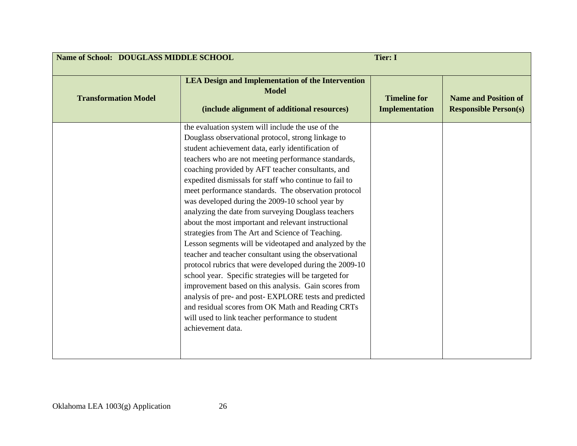| Name of School: DOUGLASS MIDDLE SCHOOL<br><b>Tier: I</b> |                                                                                                                                                                                                                                                                                                                                                                                                                                                                                                                                                                                                                                                                                                                                                                                                                                                                                                                                                                                                                                                                                                         |                                              |                                                             |
|----------------------------------------------------------|---------------------------------------------------------------------------------------------------------------------------------------------------------------------------------------------------------------------------------------------------------------------------------------------------------------------------------------------------------------------------------------------------------------------------------------------------------------------------------------------------------------------------------------------------------------------------------------------------------------------------------------------------------------------------------------------------------------------------------------------------------------------------------------------------------------------------------------------------------------------------------------------------------------------------------------------------------------------------------------------------------------------------------------------------------------------------------------------------------|----------------------------------------------|-------------------------------------------------------------|
| <b>Transformation Model</b>                              | <b>LEA Design and Implementation of the Intervention</b><br><b>Model</b><br>(include alignment of additional resources)                                                                                                                                                                                                                                                                                                                                                                                                                                                                                                                                                                                                                                                                                                                                                                                                                                                                                                                                                                                 | <b>Timeline for</b><br><b>Implementation</b> | <b>Name and Position of</b><br><b>Responsible Person(s)</b> |
|                                                          | the evaluation system will include the use of the<br>Douglass observational protocol, strong linkage to<br>student achievement data, early identification of<br>teachers who are not meeting performance standards,<br>coaching provided by AFT teacher consultants, and<br>expedited dismissals for staff who continue to fail to<br>meet performance standards. The observation protocol<br>was developed during the 2009-10 school year by<br>analyzing the date from surveying Douglass teachers<br>about the most important and relevant instructional<br>strategies from The Art and Science of Teaching.<br>Lesson segments will be videotaped and analyzed by the<br>teacher and teacher consultant using the observational<br>protocol rubrics that were developed during the 2009-10<br>school year. Specific strategies will be targeted for<br>improvement based on this analysis. Gain scores from<br>analysis of pre- and post- EXPLORE tests and predicted<br>and residual scores from OK Math and Reading CRTs<br>will used to link teacher performance to student<br>achievement data. |                                              |                                                             |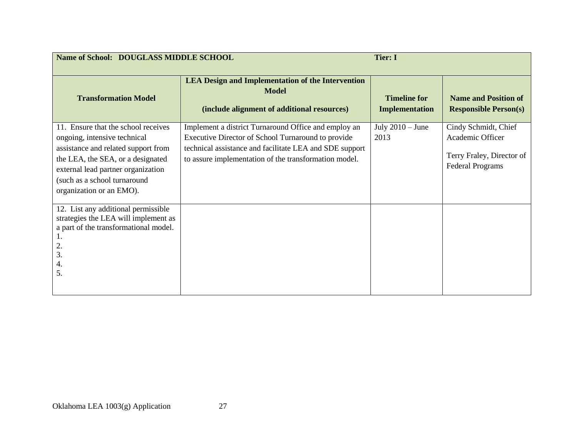| Name of School: DOUGLASS MIDDLE SCHOOL                                                                                                                                                                                                            |                                                                                                                                                                                                                                | <b>Tier: I</b>                        |                                                                                                  |
|---------------------------------------------------------------------------------------------------------------------------------------------------------------------------------------------------------------------------------------------------|--------------------------------------------------------------------------------------------------------------------------------------------------------------------------------------------------------------------------------|---------------------------------------|--------------------------------------------------------------------------------------------------|
| <b>Transformation Model</b>                                                                                                                                                                                                                       | <b>LEA Design and Implementation of the Intervention</b><br><b>Model</b><br>(include alignment of additional resources)                                                                                                        | <b>Timeline for</b><br>Implementation | <b>Name and Position of</b><br><b>Responsible Person(s)</b>                                      |
| 11. Ensure that the school receives<br>ongoing, intensive technical<br>assistance and related support from<br>the LEA, the SEA, or a designated<br>external lead partner organization<br>(such as a school turnaround<br>organization or an EMO). | Implement a district Turnaround Office and employ an<br>Executive Director of School Turnaround to provide<br>technical assistance and facilitate LEA and SDE support<br>to assure implementation of the transformation model. | July $2010 -$ June<br>2013            | Cindy Schmidt, Chief<br>Academic Officer<br>Terry Fraley, Director of<br><b>Federal Programs</b> |
| 12. List any additional permissible<br>strategies the LEA will implement as<br>a part of the transformational model.<br>2.<br>3.<br>4.<br>5.                                                                                                      |                                                                                                                                                                                                                                |                                       |                                                                                                  |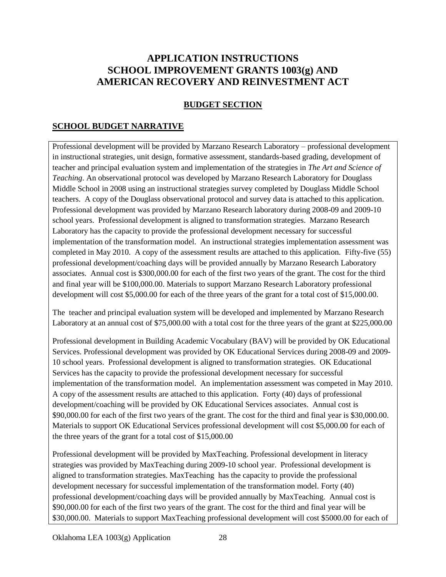# **APPLICATION INSTRUCTIONS SCHOOL IMPROVEMENT GRANTS 1003(g) AND AMERICAN RECOVERY AND REINVESTMENT ACT**

### **BUDGET SECTION**

### **SCHOOL BUDGET NARRATIVE**

Professional development will be provided by Marzano Research Laboratory – professional development in instructional strategies, unit design, formative assessment, standards-based grading, development of teacher and principal evaluation system and implementation of the strategies in *The Art and Science of Teaching*. An observational protocol was developed by Marzano Research Laboratory for Douglass Middle School in 2008 using an instructional strategies survey completed by Douglass Middle School teachers. A copy of the Douglass observational protocol and survey data is attached to this application. Professional development was provided by Marzano Research laboratory during 2008-09 and 2009-10 school years. Professional development is aligned to transformation strategies. Marzano Research Laboratory has the capacity to provide the professional development necessary for successful implementation of the transformation model. An instructional strategies implementation assessment was completed in May 2010. A copy of the assessment results are attached to this application. Fifty-five (55) professional development/coaching days will be provided annually by Marzano Research Laboratory associates. Annual cost is \$300,000.00 for each of the first two years of the grant. The cost for the third and final year will be \$100,000.00. Materials to support Marzano Research Laboratory professional development will cost \$5,000.00 for each of the three years of the grant for a total cost of \$15,000.00.

The teacher and principal evaluation system will be developed and implemented by Marzano Research Laboratory at an annual cost of \$75,000.00 with a total cost for the three years of the grant at \$225,000.00

Professional development in Building Academic Vocabulary (BAV) will be provided by OK Educational Services. Professional development was provided by OK Educational Services during 2008-09 and 2009- 10 school years. Professional development is aligned to transformation strategies. OK Educational Services has the capacity to provide the professional development necessary for successful implementation of the transformation model. An implementation assessment was competed in May 2010. A copy of the assessment results are attached to this application. Forty (40) days of professional development/coaching will be provided by OK Educational Services associates. Annual cost is \$90,000.00 for each of the first two years of the grant. The cost for the third and final year is \$30,000.00. Materials to support OK Educational Services professional development will cost \$5,000.00 for each of the three years of the grant for a total cost of \$15,000.00

Professional development will be provided by MaxTeaching. Professional development in literacy strategies was provided by MaxTeaching during 2009-10 school year. Professional development is aligned to transformation strategies. MaxTeaching has the capacity to provide the professional development necessary for successful implementation of the transformation model. Forty (40) professional development/coaching days will be provided annually by MaxTeaching. Annual cost is \$90,000.00 for each of the first two years of the grant. The cost for the third and final year will be \$30,000.00. Materials to support MaxTeaching professional development will cost \$5000.00 for each of